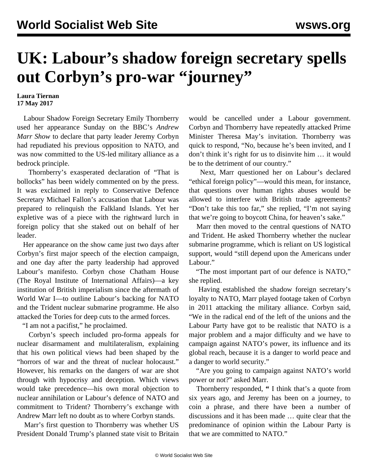## **UK: Labour's shadow foreign secretary spells out Corbyn's pro-war "journey"**

## **Laura Tiernan 17 May 2017**

 Labour Shadow Foreign Secretary Emily Thornberry used her appearance Sunday on the BBC's *Andrew Marr Show* to declare that party leader Jeremy Corbyn had repudiated his previous opposition to NATO, and was now committed to the US-led military alliance as a bedrock principle.

 Thornberry's exasperated declaration of "That is bollocks" has been widely commented on by the press. It was exclaimed in reply to Conservative Defence Secretary Michael Fallon's accusation that Labour was prepared to relinquish the Falkland Islands. Yet her expletive was of a piece with the rightward lurch in foreign policy that she staked out on behalf of her leader.

 Her appearance on the show came just two days after Corbyn's first major speech of the election campaign, and one day after the party leadership had approved [Labour's manifesto.](/en/articles/2017/05/13/mani-m13.html) Corbyn chose Chatham House (The Royal Institute of International Affairs)—a key institution of British imperialism since the aftermath of World War I—to outline Labour's backing for NATO and the Trident nuclear submarine programme. He also attacked the Tories for deep cuts to the armed forces.

"I am not a pacifist," he proclaimed.

 Corbyn's speech included pro-forma appeals for nuclear disarmament and multilateralism, explaining that his own political views had been shaped by the "horrors of war and the threat of nuclear holocaust." However, his remarks on the dangers of war are shot through with hypocrisy and deception. Which views would take precedence—his own moral objection to nuclear annihilation or Labour's defence of NATO and commitment to Trident? Thornberry's exchange with Andrew Marr left no doubt as to where Corbyn stands.

 Marr's first question to Thornberry was whether US President Donald Trump's planned state visit to Britain would be cancelled under a Labour government. Corbyn and Thornberry have repeatedly attacked Prime Minister Theresa May's invitation. Thornberry was quick to respond, "No, because he's been invited, and I don't think it's right for us to disinvite him … it would be to the detriment of our country."

 Next, Marr questioned her on Labour's declared "ethical foreign policy"—would this mean, for instance, that questions over human rights abuses would be allowed to interfere with British trade agreements? "Don't take this too far," she replied, "I'm not saying that we're going to boycott China, for heaven's sake."

 Marr then moved to the central questions of NATO and Trident. He asked Thornberry whether the nuclear submarine programme, which is reliant on US logistical support, would "still depend upon the Americans under Labour."

 "The most important part of our defence is NATO," she replied.

 Having established the shadow foreign secretary's loyalty to NATO, Marr played footage taken of Corbyn in 2011 attacking the military alliance. Corbyn said, "We in the radical end of the left of the unions and the Labour Party have got to be realistic that NATO is a major problem and a major difficulty and we have to campaign against NATO's power, its influence and its global reach, because it is a danger to world peace and a danger to world security."

 "Are you going to campaign against NATO's world power or not?" asked Marr.

 Thornberry responded, **"** I think that's a quote from six years ago, and Jeremy has been on a journey, to coin a phrase, and there have been a number of discussions and it has been made … quite clear that the predominance of opinion within the Labour Party is that we are committed to NATO."